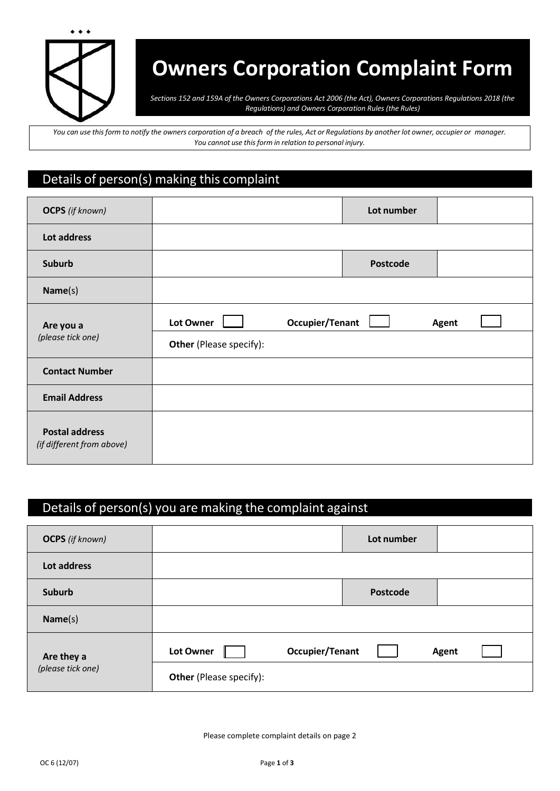

# **Owners Corporation Complaint Form**

*Sections 152 and 159A of the Owners Corporations Act 2006 (the Act), Owners Corporations Regulations 2018 (the Regulations) and Owners Corporation Rules (the Rules)*

You can use this form to notify the owners corporation of a breach of the rules, Act or Regulations by another lot owner, occupier or manager. *You cannot use this form in relation to personal injury.* 

### Details of person(s) making this complaint

| <b>OCPS</b> (if known)                             |                                             |                 | Lot number      |       |
|----------------------------------------------------|---------------------------------------------|-----------------|-----------------|-------|
| Lot address                                        |                                             |                 |                 |       |
| <b>Suburb</b>                                      |                                             |                 | <b>Postcode</b> |       |
| Name(s)                                            |                                             |                 |                 |       |
| Are you a<br>(please tick one)                     | Lot Owner<br><b>Other</b> (Please specify): | Occupier/Tenant |                 | Agent |
| <b>Contact Number</b>                              |                                             |                 |                 |       |
| <b>Email Address</b>                               |                                             |                 |                 |       |
| <b>Postal address</b><br>(if different from above) |                                             |                 |                 |       |

## Details of person(s) you are making the complaint against

| <b>OCPS</b> (if known)          |                                |                 | Lot number |              |  |
|---------------------------------|--------------------------------|-----------------|------------|--------------|--|
| Lot address                     |                                |                 |            |              |  |
| <b>Suburb</b>                   |                                |                 | Postcode   |              |  |
| Name(s)                         |                                |                 |            |              |  |
| Are they a<br>(please tick one) | Lot Owner                      | Occupier/Tenant |            | <b>Agent</b> |  |
|                                 | <b>Other</b> (Please specify): |                 |            |              |  |

Please complete complaint details on page 2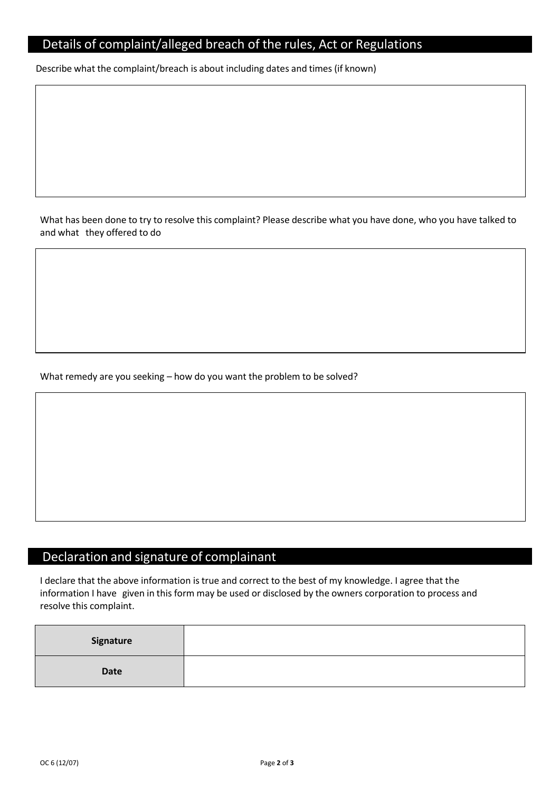#### Details of complaint/alleged breach of the rules, Act or Regulations

Describe what the complaint/breach is about including dates and times (if known)

What has been done to try to resolve this complaint? Please describe what you have done, who you have talked to and what they offered to do

What remedy are you seeking – how do you want the problem to be solved?

## Declaration and signature of complainant

I declare that the above information is true and correct to the best of my knowledge. I agree that the information I have given in this form may be used or disclosed by the owners corporation to process and resolve this complaint.

| Signature |  |
|-----------|--|
| Date      |  |